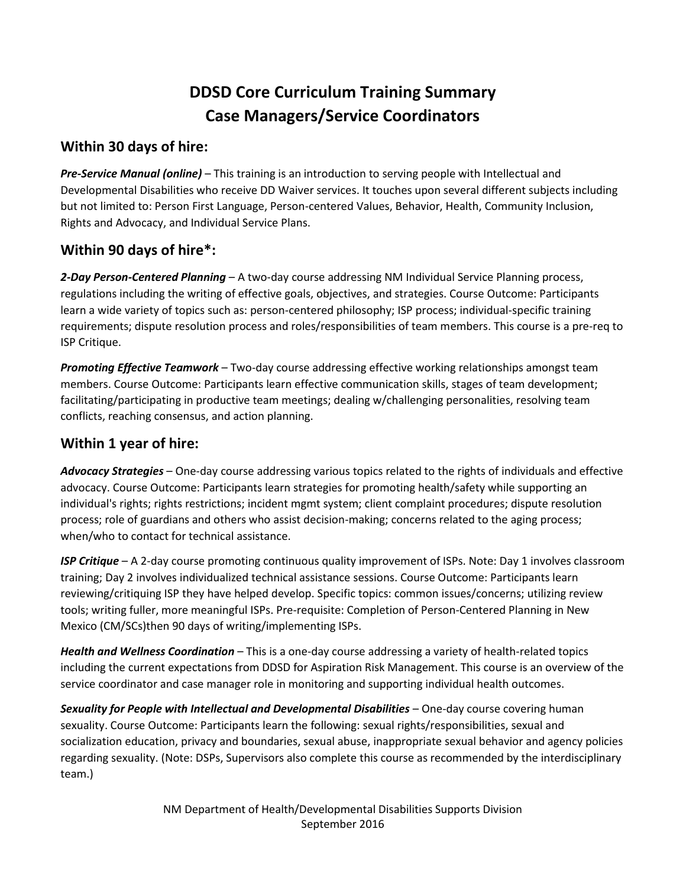## **DDSD Core Curriculum Training Summary Case Managers/Service Coordinators**

## **Within 30 days of hire:**

*Pre-Service Manual (online)* – This training is an introduction to serving people with Intellectual and Developmental Disabilities who receive DD Waiver services. It touches upon several different subjects including but not limited to: Person First Language, Person-centered Values, Behavior, Health, Community Inclusion, Rights and Advocacy, and Individual Service Plans.

## **Within 90 days of hire\*:**

*2-Day Person-Centered Planning* – A two-day course addressing NM Individual Service Planning process, regulations including the writing of effective goals, objectives, and strategies. Course Outcome: Participants learn a wide variety of topics such as: person-centered philosophy; ISP process; individual-specific training requirements; dispute resolution process and roles/responsibilities of team members. This course is a pre-req to ISP Critique.

*Promoting Effective Teamwork* – Two-day course addressing effective working relationships amongst team members. Course Outcome: Participants learn effective communication skills, stages of team development; facilitating/participating in productive team meetings; dealing w/challenging personalities, resolving team conflicts, reaching consensus, and action planning.

## **Within 1 year of hire:**

*Advocacy Strategies* – One-day course addressing various topics related to the rights of individuals and effective advocacy. Course Outcome: Participants learn strategies for promoting health/safety while supporting an individual's rights; rights restrictions; incident mgmt system; client complaint procedures; dispute resolution process; role of guardians and others who assist decision-making; concerns related to the aging process; when/who to contact for technical assistance.

*ISP Critique* – A 2-day course promoting continuous quality improvement of ISPs. Note: Day 1 involves classroom training; Day 2 involves individualized technical assistance sessions. Course Outcome: Participants learn reviewing/critiquing ISP they have helped develop. Specific topics: common issues/concerns; utilizing review tools; writing fuller, more meaningful ISPs. Pre-requisite: Completion of Person-Centered Planning in New Mexico (CM/SCs)then 90 days of writing/implementing ISPs.

*Health and Wellness Coordination* – This is a one-day course addressing a variety of health-related topics including the current expectations from DDSD for Aspiration Risk Management. This course is an overview of the service coordinator and case manager role in monitoring and supporting individual health outcomes.

*Sexuality for People with Intellectual and Developmental Disabilities* – One-day course covering human sexuality. Course Outcome: Participants learn the following: sexual rights/responsibilities, sexual and socialization education, privacy and boundaries, sexual abuse, inappropriate sexual behavior and agency policies regarding sexuality. (Note: DSPs, Supervisors also complete this course as recommended by the interdisciplinary team.)

> NM Department of Health/Developmental Disabilities Supports Division September 2016